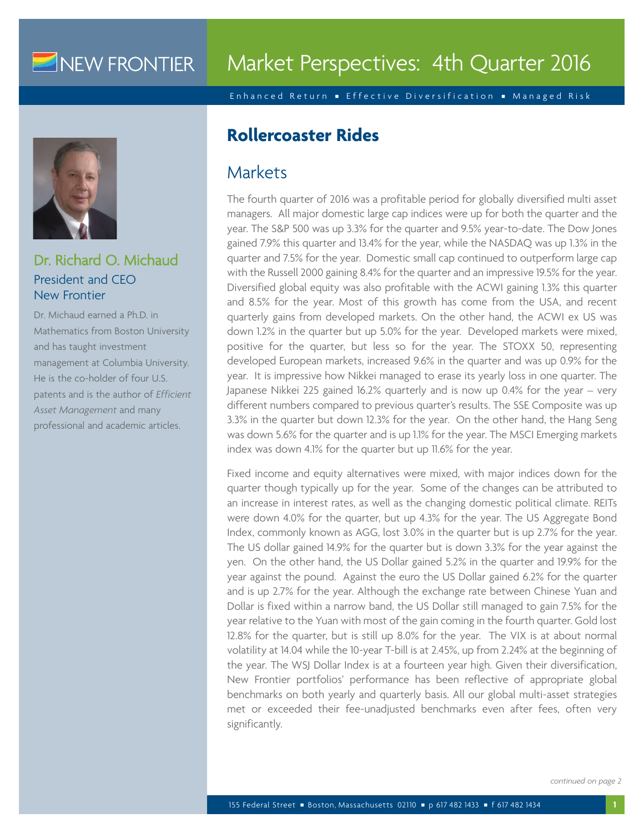# NEW FRONTIER

Enhanced Return Effective Diversification Managed Risk



Dr. Richard O. Michaud President and CEO New Frontier

Dr. Michaud earned a Ph.D. in Mathematics from Boston University and has taught investment management at Columbia University. He is the co-holder of four U.S. patents and is the author of *Efficient Asset Management* and many professional and academic articles.

# **Rollercoaster Rides**

# Markets

The fourth quarter of 2016 was a profitable period for globally diversified multi asset managers. All major domestic large cap indices were up for both the quarter and the year. The S&P 500 was up 3.3% for the quarter and 9.5% year-to-date. The Dow Jones gained 7.9% this quarter and 13.4% for the year, while the NASDAQ was up 1.3% in the quarter and 7.5% for the year. Domestic small cap continued to outperform large cap with the Russell 2000 gaining 8.4% for the quarter and an impressive 19.5% for the year. Diversified global equity was also profitable with the ACWI gaining 1.3% this quarter and 8.5% for the year. Most of this growth has come from the USA, and recent quarterly gains from developed markets. On the other hand, the ACWI ex US was down 1.2% in the quarter but up 5.0% for the year. Developed markets were mixed, positive for the quarter, but less so for the year. The STOXX 50, representing developed European markets, increased 9.6% in the quarter and was up 0.9% for the year. It is impressive how Nikkei managed to erase its yearly loss in one quarter. The Japanese Nikkei 225 gained 16.2% quarterly and is now up 0.4% for the year – very different numbers compared to previous quarter's results. The SSE Composite was up 3.3% in the quarter but down 12.3% for the year. On the other hand, the Hang Seng was down 5.6% for the quarter and is up 1.1% for the year. The MSCI Emerging markets index was down 4.1% for the quarter but up 11.6% for the year.

Fixed income and equity alternatives were mixed, with major indices down for the quarter though typically up for the year. Some of the changes can be attributed to an increase in interest rates, as well as the changing domestic political climate. REITs were down 4.0% for the quarter, but up 4.3% for the year. The US Aggregate Bond Index, commonly known as AGG, lost 3.0% in the quarter but is up 2.7% for the year. The US dollar gained 14.9% for the quarter but is down 3.3% for the year against the yen. On the other hand, the US Dollar gained 5.2% in the quarter and 19.9% for the year against the pound. Against the euro the US Dollar gained 6.2% for the quarter and is up 2.7% for the year. Although the exchange rate between Chinese Yuan and Dollar is fixed within a narrow band, the US Dollar still managed to gain 7.5% for the year relative to the Yuan with most of the gain coming in the fourth quarter. Gold lost 12.8% for the quarter, but is still up 8.0% for the year. The VIX is at about normal volatility at 14.04 while the 10-year T-bill is at 2.45%, up from 2.24% at the beginning of the year. The WSJ Dollar Index is at a fourteen year high. Given their diversification, New Frontier portfolios' performance has been reflective of appropriate global benchmarks on both yearly and quarterly basis. All our global multi-asset strategies met or exceeded their fee-unadjusted benchmarks even after fees, often very significantly.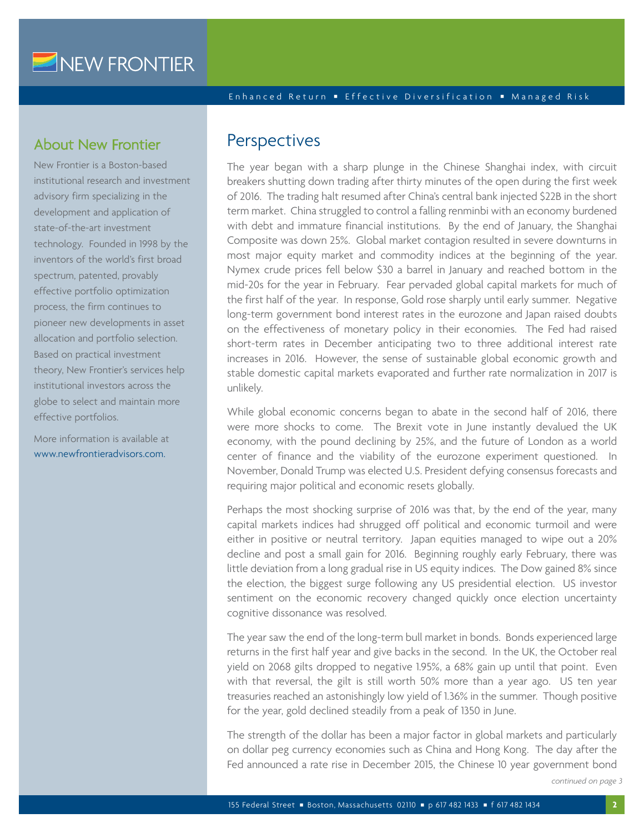#### Enhanced Return Effective Diversification Managed Risk

### About New Frontier

New Frontier is a Boston-based institutional research and investment advisory firm specializing in the development and application of state-of-the-art investment technology. Founded in 1998 by the inventors of the world's first broad spectrum, patented, provably effective portfolio optimization process, the firm continues to pioneer new developments in asset allocation and portfolio selection. Based on practical investment theory, New Frontier's services help institutional investors across the globe to select and maintain more effective portfolios.

More information is available at www.newfrontieradvisors.com

### **Perspectives**

The year began with a sharp plunge in the Chinese Shanghai index, with circuit breakers shutting down trading after thirty minutes of the open during the first week of 2016. The trading halt resumed after China's central bank injected \$22B in the short term market. China struggled to control a falling renminbi with an economy burdened with debt and immature financial institutions. By the end of January, the Shanghai Composite was down 25%. Global market contagion resulted in severe downturns in most major equity market and commodity indices at the beginning of the year. Nymex crude prices fell below \$30 a barrel in January and reached bottom in the mid-20s for the year in February. Fear pervaded global capital markets for much of the first half of the year. In response, Gold rose sharply until early summer. Negative long-term government bond interest rates in the eurozone and Japan raised doubts on the effectiveness of monetary policy in their economies. The Fed had raised short-term rates in December anticipating two to three additional interest rate increases in 2016. However, the sense of sustainable global economic growth and stable domestic capital markets evaporated and further rate normalization in 2017 is unlikely.

While global economic concerns began to abate in the second half of 2016, there were more shocks to come. The Brexit vote in June instantly devalued the UK economy, with the pound declining by 25%, and the future of London as a world center of finance and the viability of the eurozone experiment questioned. In November, Donald Trump was elected U.S. President defying consensus forecasts and requiring major political and economic resets globally.

Perhaps the most shocking surprise of 2016 was that, by the end of the year, many capital markets indices had shrugged off political and economic turmoil and were either in positive or neutral territory. Japan equities managed to wipe out a 20% decline and post a small gain for 2016. Beginning roughly early February, there was little deviation from a long gradual rise in US equity indices. The Dow gained 8% since the election, the biggest surge following any US presidential election. US investor sentiment on the economic recovery changed quickly once election uncertainty cognitive dissonance was resolved.

The year saw the end of the long-term bull market in bonds. Bonds experienced large returns in the first half year and give backs in the second. In the UK, the October real yield on 2068 gilts dropped to negative 1.95%, a 68% gain up until that point. Even with that reversal, the gilt is still worth 50% more than a year ago. US ten year treasuries reached an astonishingly low yield of 1.36% in the summer. Though positive for the year, gold declined steadily from a peak of 1350 in June.

The strength of the dollar has been a major factor in global markets and particularly on dollar peg currency economies such as China and Hong Kong. The day after the Fed announced a rate rise in December 2015, the Chinese 10 year government bond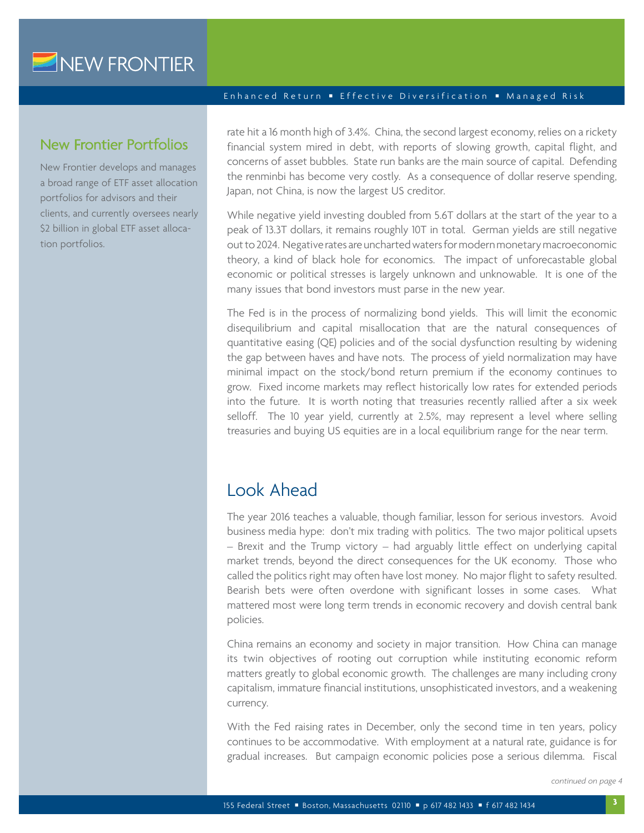### New Frontier Portfolios

New Frontier develops and manages a broad range of ETF asset allocation portfolios for advisors and their clients, and currently oversees nearly \$2 billion in global ETF asset allocation portfolios.

#### Enhanced Return Effective Diversification Managed Risk

rate hit a 16 month high of 3.4%. China, the second largest economy, relies on a rickety financial system mired in debt, with reports of slowing growth, capital flight, and concerns of asset bubbles. State run banks are the main source of capital. Defending the renminbi has become very costly. As a consequence of dollar reserve spending, Japan, not China, is now the largest US creditor.

While negative yield investing doubled from 5.6T dollars at the start of the year to a peak of 13.3T dollars, it remains roughly 10T in total. German yields are still negative out to 2024. Negative rates are uncharted waters for modern monetary macroeconomic theory, a kind of black hole for economics. The impact of unforecastable global economic or political stresses is largely unknown and unknowable. It is one of the many issues that bond investors must parse in the new year.

The Fed is in the process of normalizing bond yields. This will limit the economic disequilibrium and capital misallocation that are the natural consequences of quantitative easing (QE) policies and of the social dysfunction resulting by widening the gap between haves and have nots. The process of yield normalization may have minimal impact on the stock/bond return premium if the economy continues to grow. Fixed income markets may reflect historically low rates for extended periods into the future. It is worth noting that treasuries recently rallied after a six week selloff. The 10 year yield, currently at 2.5%, may represent a level where selling treasuries and buying US equities are in a local equilibrium range for the near term.

# Look Ahead

The year 2016 teaches a valuable, though familiar, lesson for serious investors. Avoid business media hype: don't mix trading with politics. The two major political upsets – Brexit and the Trump victory – had arguably little effect on underlying capital market trends, beyond the direct consequences for the UK economy. Those who called the politics right may often have lost money. No major flight to safety resulted. Bearish bets were often overdone with significant losses in some cases. What mattered most were long term trends in economic recovery and dovish central bank policies.

China remains an economy and society in major transition. How China can manage its twin objectives of rooting out corruption while instituting economic reform matters greatly to global economic growth. The challenges are many including crony capitalism, immature financial institutions, unsophisticated investors, and a weakening currency.

With the Fed raising rates in December, only the second time in ten years, policy continues to be accommodative. With employment at a natural rate, guidance is for gradual increases. But campaign economic policies pose a serious dilemma. Fiscal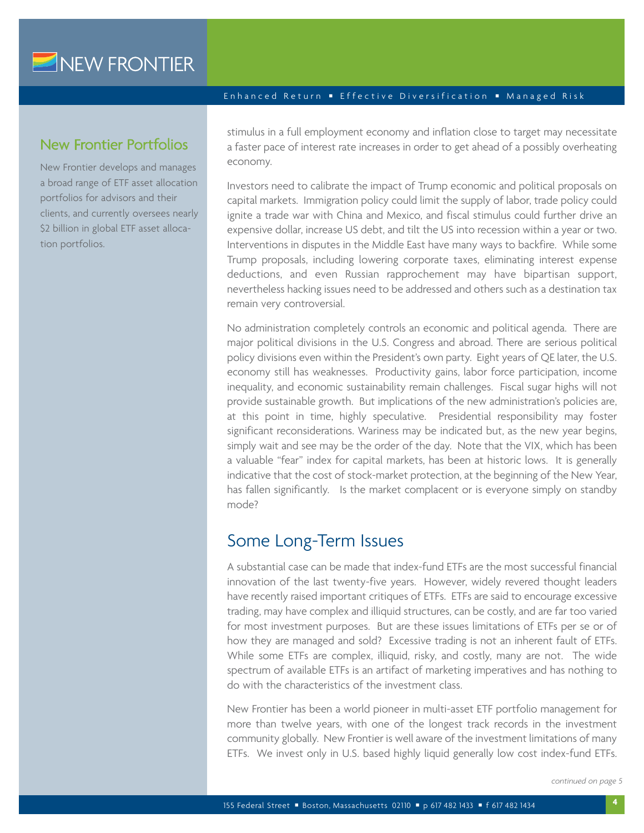### New Frontier Portfolios

New Frontier develops and manages a broad range of ETF asset allocation portfolios for advisors and their clients, and currently oversees nearly \$2 billion in global ETF asset allocation portfolios.

#### Enhanced Return Effective Diversification Managed Risk

stimulus in a full employment economy and inflation close to target may necessitate a faster pace of interest rate increases in order to get ahead of a possibly overheating economy.

Investors need to calibrate the impact of Trump economic and political proposals on capital markets. Immigration policy could limit the supply of labor, trade policy could ignite a trade war with China and Mexico, and fiscal stimulus could further drive an expensive dollar, increase US debt, and tilt the US into recession within a year or two. Interventions in disputes in the Middle East have many ways to backfire. While some Trump proposals, including lowering corporate taxes, eliminating interest expense deductions, and even Russian rapprochement may have bipartisan support, nevertheless hacking issues need to be addressed and others such as a destination tax remain very controversial.

No administration completely controls an economic and political agenda. There are major political divisions in the U.S. Congress and abroad. There are serious political policy divisions even within the President's own party. Eight years of QE later, the U.S. economy still has weaknesses. Productivity gains, labor force participation, income inequality, and economic sustainability remain challenges. Fiscal sugar highs will not provide sustainable growth. But implications of the new administration's policies are, at this point in time, highly speculative. Presidential responsibility may foster significant reconsiderations. Wariness may be indicated but, as the new year begins, simply wait and see may be the order of the day. Note that the VIX, which has been a valuable "fear" index for capital markets, has been at historic lows. It is generally indicative that the cost of stock-market protection, at the beginning of the New Year, has fallen significantly. Is the market complacent or is everyone simply on standby mode?

### Some Long-Term Issues

A substantial case can be made that index-fund ETFs are the most successful financial innovation of the last twenty-five years. However, widely revered thought leaders have recently raised important critiques of ETFs. ETFs are said to encourage excessive trading, may have complex and illiquid structures, can be costly, and are far too varied for most investment purposes. But are these issues limitations of ETFs per se or of how they are managed and sold? Excessive trading is not an inherent fault of ETFs. While some ETFs are complex, illiquid, risky, and costly, many are not. The wide spectrum of available ETFs is an artifact of marketing imperatives and has nothing to do with the characteristics of the investment class.

New Frontier has been a world pioneer in multi-asset ETF portfolio management for more than twelve years, with one of the longest track records in the investment community globally. New Frontier is well aware of the investment limitations of many ETFs. We invest only in U.S. based highly liquid generally low cost index-fund ETFs.